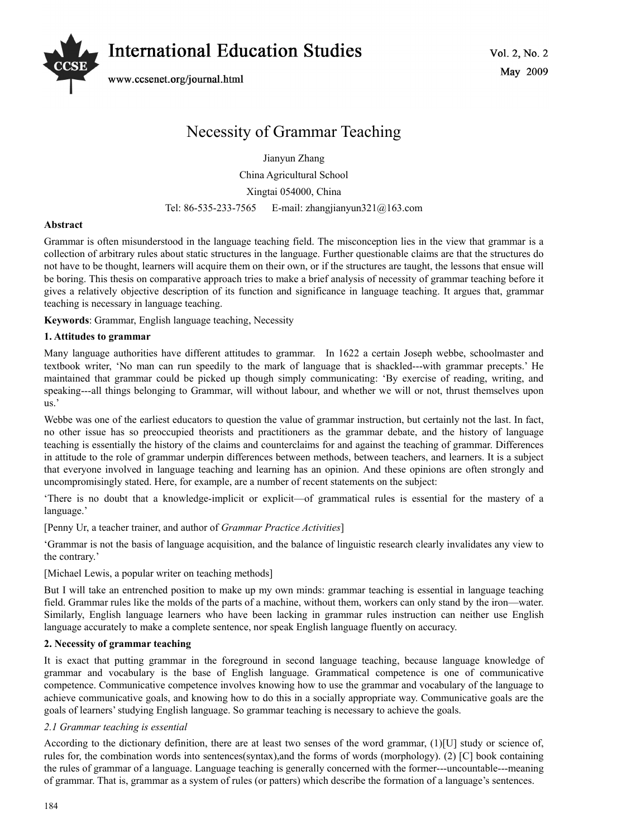

# Necessity of Grammar Teaching

Jianyun Zhang China Agricultural School Xingtai 054000, China Tel: 86-535-233-7565 E-mail: zhangjianyun321@163.com

# **Abstract**

Grammar is often misunderstood in the language teaching field. The misconception lies in the view that grammar is a collection of arbitrary rules about static structures in the language. Further questionable claims are that the structures do not have to be thought, learners will acquire them on their own, or if the structures are taught, the lessons that ensue will be boring. This thesis on comparative approach tries to make a brief analysis of necessity of grammar teaching before it gives a relatively objective description of its function and significance in language teaching. It argues that, grammar teaching is necessary in language teaching.

**Keywords**: Grammar, English language teaching, Necessity

# **1. Attitudes to grammar**

Many language authorities have different attitudes to grammar. In 1622 a certain Joseph webbe, schoolmaster and textbook writer, 'No man can run speedily to the mark of language that is shackled---with grammar precepts.' He maintained that grammar could be picked up though simply communicating: 'By exercise of reading, writing, and speaking---all things belonging to Grammar, will without labour, and whether we will or not, thrust themselves upon us.'

Webbe was one of the earliest educators to question the value of grammar instruction, but certainly not the last. In fact, no other issue has so preoccupied theorists and practitioners as the grammar debate, and the history of language teaching is essentially the history of the claims and counterclaims for and against the teaching of grammar. Differences in attitude to the role of grammar underpin differences between methods, between teachers, and learners. It is a subject that everyone involved in language teaching and learning has an opinion. And these opinions are often strongly and uncompromisingly stated. Here, for example, are a number of recent statements on the subject:

'There is no doubt that a knowledge-implicit or explicit—of grammatical rules is essential for the mastery of a language.'

[Penny Ur, a teacher trainer, and author of *Grammar Practice Activities*]

'Grammar is not the basis of language acquisition, and the balance of linguistic research clearly invalidates any view to the contrary.'

[Michael Lewis, a popular writer on teaching methods]

But I will take an entrenched position to make up my own minds: grammar teaching is essential in language teaching field. Grammar rules like the molds of the parts of a machine, without them, workers can only stand by the iron—water. Similarly, English language learners who have been lacking in grammar rules instruction can neither use English language accurately to make a complete sentence, nor speak English language fluently on accuracy.

#### **2. Necessity of grammar teaching**

It is exact that putting grammar in the foreground in second language teaching, because language knowledge of grammar and vocabulary is the base of English language. Grammatical competence is one of communicative competence. Communicative competence involves knowing how to use the grammar and vocabulary of the language to achieve communicative goals, and knowing how to do this in a socially appropriate way. Communicative goals are the goals of learners' studying English language. So grammar teaching is necessary to achieve the goals.

#### *2.1 Grammar teaching is essential*

According to the dictionary definition, there are at least two senses of the word grammar, (1)[U] study or science of, rules for, the combination words into sentences(syntax),and the forms of words (morphology). (2) [C] book containing the rules of grammar of a language. Language teaching is generally concerned with the former---uncountable---meaning of grammar. That is, grammar as a system of rules (or patters) which describe the formation of a language's sentences.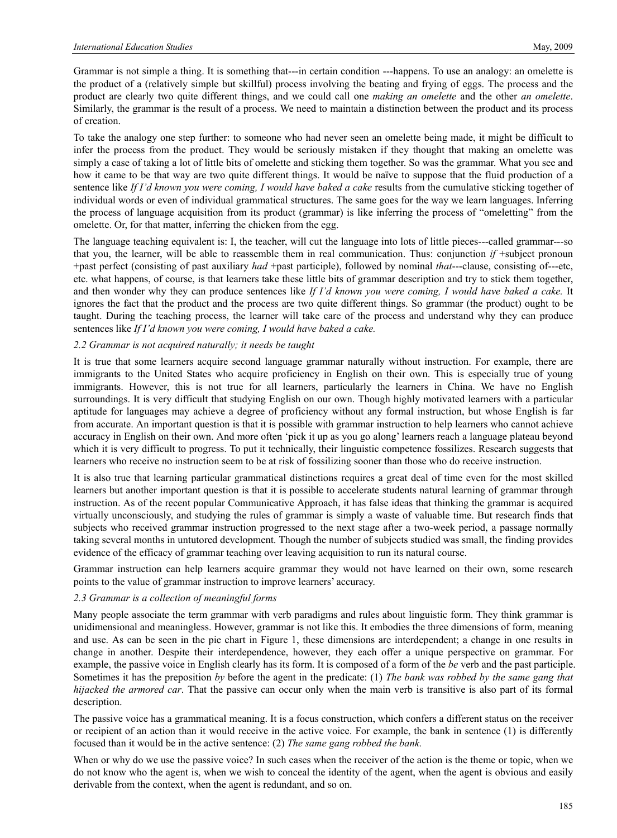Grammar is not simple a thing. It is something that---in certain condition ---happens. To use an analogy: an omelette is the product of a (relatively simple but skillful) process involving the beating and frying of eggs. The process and the product are clearly two quite different things, and we could call one *making an omelette* and the other *an omelette*. Similarly, the grammar is the result of a process. We need to maintain a distinction between the product and its process of creation.

To take the analogy one step further: to someone who had never seen an omelette being made, it might be difficult to infer the process from the product. They would be seriously mistaken if they thought that making an omelette was simply a case of taking a lot of little bits of omelette and sticking them together. So was the grammar. What you see and how it came to be that way are two quite different things. It would be naïve to suppose that the fluid production of a sentence like *If I'd known you were coming, I would have baked a cake* results from the cumulative sticking together of individual words or even of individual grammatical structures. The same goes for the way we learn languages. Inferring the process of language acquisition from its product (grammar) is like inferring the process of "omeletting" from the omelette. Or, for that matter, inferring the chicken from the egg.

The language teaching equivalent is: I, the teacher, will cut the language into lots of little pieces---called grammar---so that you, the learner, will be able to reassemble them in real communication. Thus: conjunction *if* +subject pronoun +past perfect (consisting of past auxiliary *had* +past participle), followed by nominal *that*---clause, consisting of---etc, etc. what happens, of course, is that learners take these little bits of grammar description and try to stick them together, and then wonder why they can produce sentences like *If I'd known you were coming, I would have baked a cake*. It ignores the fact that the product and the process are two quite different things. So grammar (the product) ought to be taught. During the teaching process, the learner will take care of the process and understand why they can produce sentences like *If I'd known you were coming, I would have baked a cake.* 

# *2.2 Grammar is not acquired naturally; it needs be taught*

It is true that some learners acquire second language grammar naturally without instruction. For example, there are immigrants to the United States who acquire proficiency in English on their own. This is especially true of young immigrants. However, this is not true for all learners, particularly the learners in China. We have no English surroundings. It is very difficult that studying English on our own. Though highly motivated learners with a particular aptitude for languages may achieve a degree of proficiency without any formal instruction, but whose English is far from accurate. An important question is that it is possible with grammar instruction to help learners who cannot achieve accuracy in English on their own. And more often 'pick it up as you go along' learners reach a language plateau beyond which it is very difficult to progress. To put it technically, their linguistic competence fossilizes. Research suggests that learners who receive no instruction seem to be at risk of fossilizing sooner than those who do receive instruction.

It is also true that learning particular grammatical distinctions requires a great deal of time even for the most skilled learners but another important question is that it is possible to accelerate students natural learning of grammar through instruction. As of the recent popular Communicative Approach, it has false ideas that thinking the grammar is acquired virtually unconsciously, and studying the rules of grammar is simply a waste of valuable time. But research finds that subjects who received grammar instruction progressed to the next stage after a two-week period, a passage normally taking several months in untutored development. Though the number of subjects studied was small, the finding provides evidence of the efficacy of grammar teaching over leaving acquisition to run its natural course.

Grammar instruction can help learners acquire grammar they would not have learned on their own, some research points to the value of grammar instruction to improve learners' accuracy.

#### *2.3 Grammar is a collection of meaningful forms*

Many people associate the term grammar with verb paradigms and rules about linguistic form. They think grammar is unidimensional and meaningless. However, grammar is not like this. It embodies the three dimensions of form, meaning and use. As can be seen in the pie chart in Figure 1, these dimensions are interdependent; a change in one results in change in another. Despite their interdependence, however, they each offer a unique perspective on grammar. For example, the passive voice in English clearly has its form. It is composed of a form of the *be* verb and the past participle. Sometimes it has the preposition *by* before the agent in the predicate: (1) *The bank was robbed by the same gang that hijacked the armored car*. That the passive can occur only when the main verb is transitive is also part of its formal description.

The passive voice has a grammatical meaning. It is a focus construction, which confers a different status on the receiver or recipient of an action than it would receive in the active voice. For example, the bank in sentence (1) is differently focused than it would be in the active sentence: (2) *The same gang robbed the bank.*

When or why do we use the passive voice? In such cases when the receiver of the action is the theme or topic, when we do not know who the agent is, when we wish to conceal the identity of the agent, when the agent is obvious and easily derivable from the context, when the agent is redundant, and so on.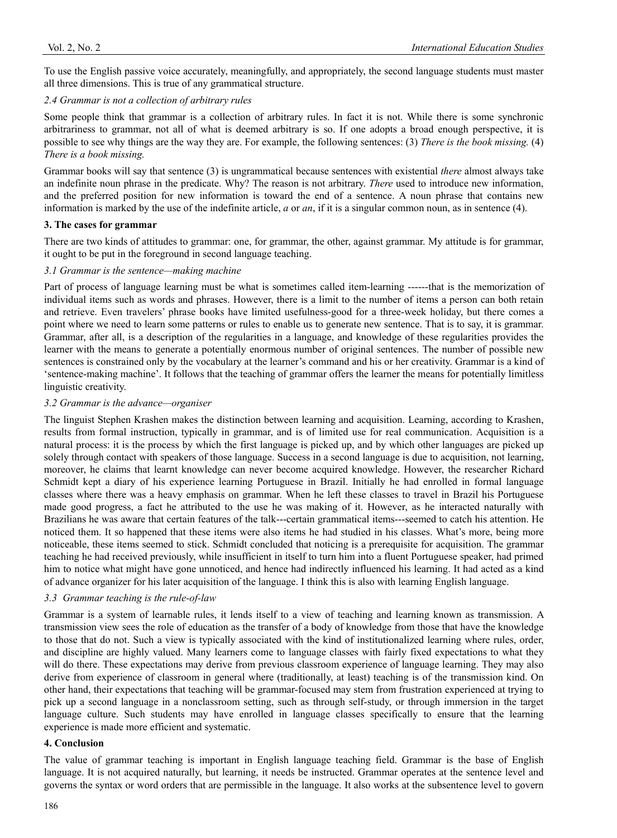To use the English passive voice accurately, meaningfully, and appropriately, the second language students must master all three dimensions. This is true of any grammatical structure.

#### *2.4 Grammar is not a collection of arbitrary rules*

Some people think that grammar is a collection of arbitrary rules. In fact it is not. While there is some synchronic arbitrariness to grammar, not all of what is deemed arbitrary is so. If one adopts a broad enough perspective, it is possible to see why things are the way they are. For example, the following sentences: (3) *There is the book missing.* (4) *There is a book missing.*

Grammar books will say that sentence (3) is ungrammatical because sentences with existential *there* almost always take an indefinite noun phrase in the predicate. Why? The reason is not arbitrary. *There* used to introduce new information, and the preferred position for new information is toward the end of a sentence. A noun phrase that contains new information is marked by the use of the indefinite article, *a* or *an*, if it is a singular common noun, as in sentence (4).

# **3. The cases for grammar**

There are two kinds of attitudes to grammar: one, for grammar, the other, against grammar. My attitude is for grammar, it ought to be put in the foreground in second language teaching.

#### *3.1 Grammar is the sentence—making machine*

Part of process of language learning must be what is sometimes called item-learning ------that is the memorization of individual items such as words and phrases. However, there is a limit to the number of items a person can both retain and retrieve. Even travelers' phrase books have limited usefulness-good for a three-week holiday, but there comes a point where we need to learn some patterns or rules to enable us to generate new sentence. That is to say, it is grammar. Grammar, after all, is a description of the regularities in a language, and knowledge of these regularities provides the learner with the means to generate a potentially enormous number of original sentences. The number of possible new sentences is constrained only by the vocabulary at the learner's command and his or her creativity. Grammar is a kind of 'sentence-making machine'. It follows that the teaching of grammar offers the learner the means for potentially limitless linguistic creativity.

# *3.2 Grammar is the advance—organiser*

The linguist Stephen Krashen makes the distinction between learning and acquisition. Learning, according to Krashen, results from formal instruction, typically in grammar, and is of limited use for real communication. Acquisition is a natural process: it is the process by which the first language is picked up, and by which other languages are picked up solely through contact with speakers of those language. Success in a second language is due to acquisition, not learning, moreover, he claims that learnt knowledge can never become acquired knowledge. However, the researcher Richard Schmidt kept a diary of his experience learning Portuguese in Brazil. Initially he had enrolled in formal language classes where there was a heavy emphasis on grammar. When he left these classes to travel in Brazil his Portuguese made good progress, a fact he attributed to the use he was making of it. However, as he interacted naturally with Brazilians he was aware that certain features of the talk---certain grammatical items---seemed to catch his attention. He noticed them. It so happened that these items were also items he had studied in his classes. What's more, being more noticeable, these items seemed to stick. Schmidt concluded that noticing is a prerequisite for acquisition. The grammar teaching he had received previously, while insufficient in itself to turn him into a fluent Portuguese speaker, had primed him to notice what might have gone unnoticed, and hence had indirectly influenced his learning. It had acted as a kind of advance organizer for his later acquisition of the language. I think this is also with learning English language.

#### *3.3 Grammar teaching is the rule-of-law*

Grammar is a system of learnable rules, it lends itself to a view of teaching and learning known as transmission. A transmission view sees the role of education as the transfer of a body of knowledge from those that have the knowledge to those that do not. Such a view is typically associated with the kind of institutionalized learning where rules, order, and discipline are highly valued. Many learners come to language classes with fairly fixed expectations to what they will do there. These expectations may derive from previous classroom experience of language learning. They may also derive from experience of classroom in general where (traditionally, at least) teaching is of the transmission kind. On other hand, their expectations that teaching will be grammar-focused may stem from frustration experienced at trying to pick up a second language in a nonclassroom setting, such as through self-study, or through immersion in the target language culture. Such students may have enrolled in language classes specifically to ensure that the learning experience is made more efficient and systematic.

#### **4. Conclusion**

The value of grammar teaching is important in English language teaching field. Grammar is the base of English language. It is not acquired naturally, but learning, it needs be instructed. Grammar operates at the sentence level and governs the syntax or word orders that are permissible in the language. It also works at the subsentence level to govern